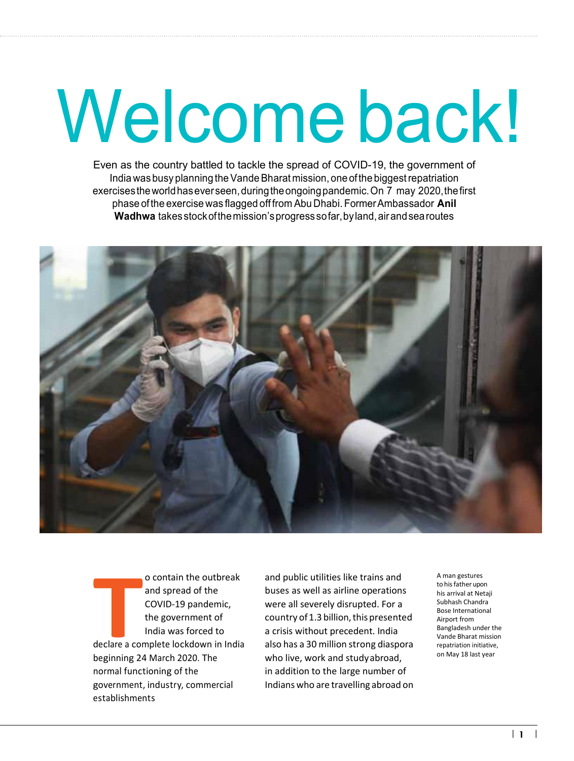## Welcome back!

Even as the country battled to tackle the spread of COVID-19, the government of India was busy planning the Vande Bharat mission, one of the biggest repatriation exercises the world has ever seen, during the ongoing pandemic. On 7 may 2020, the first phase of the exercise was flagged off from Abu Dhabi. Former Ambassador **Anil Wadhwa** takes stock of the mission's progress so far, by land, air and sea routes



**T**<br>**T**<br>**T**<br>**T**<br>**Propinsing**<br>**Propinsing**<br>**Propinsing**<br> **Propinsing** o contain the outbreak and spread of the COVID-19 pandemic, the government of India was forced to declare a complete lockdown in India beginning 24 March 2020. The normal functioning of the government, industry, commercial establishments

and public utilities like trains and buses as well as airline operations were all severely disrupted. For a country of 1.3 billion, this presented a crisis without precedent. India also has a 30 million strong diaspora who live, work and study abroad, in addition to the large number of Indians who are travelling abroad on

A man gestures to his father upon his arrival at Netaji Subhash Chandra Bose International Airport from Bangladesh under the Vande Bharat mission repatriation initiative, on May 18 last year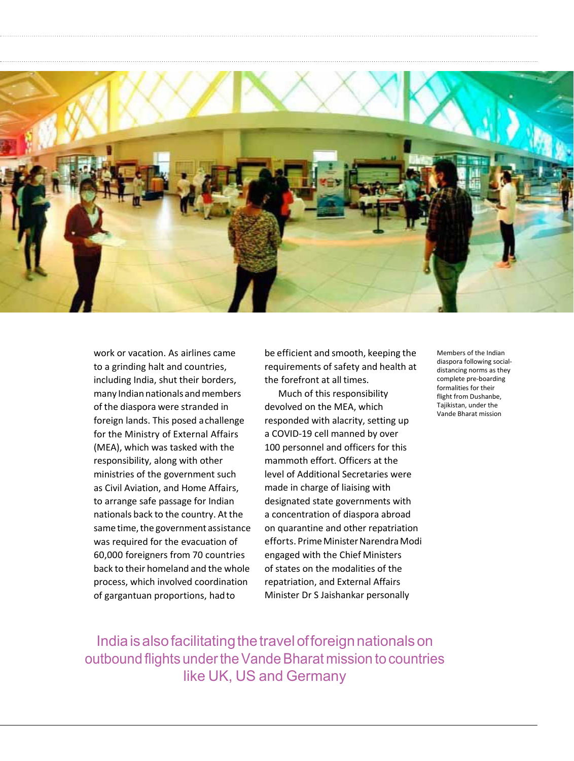

work or vacation. As airlines came to a grinding halt and countries, including India, shut their borders, many Indian nationals and members of the diaspora were stranded in foreign lands. This posed a challenge for the Ministry of External Affairs (MEA), which was tasked with the responsibility, along with other ministries of the government such as Civil Aviation, and Home Affairs, to arrange safe passage for Indian nationals back to the country. At the same time, the government assistance was required for the evacuation of 60,000 foreigners from 70 countries back to their homeland and the whole process, which involved coordination of gargantuan proportions, hadto

be efficient and smooth, keeping the requirements of safety and health at the forefront at all times.

Much of this responsibility devolved on the MEA, which responded with alacrity, setting up a COVID-19 cell manned by over 100 personnel and officers for this mammoth effort. Officers at the level of Additional Secretaries were made in charge of liaising with designated state governments with a concentration of diaspora abroad on quarantine and other repatriation efforts. Prime Minister Narendra Modi engaged with the Chief Ministers of states on the modalities of the repatriation, and External Affairs Minister Dr S Jaishankar personally

Members of the Indian diaspora following socialdistancing norms as they complete pre-boarding formalities for their flight from Dushanbe, Tajikistan, under the Vande Bharat mission

India is also facilitating the travel of foreign nationals on outbound flights under the Vande Bharat mission to countries like UK, US and Germany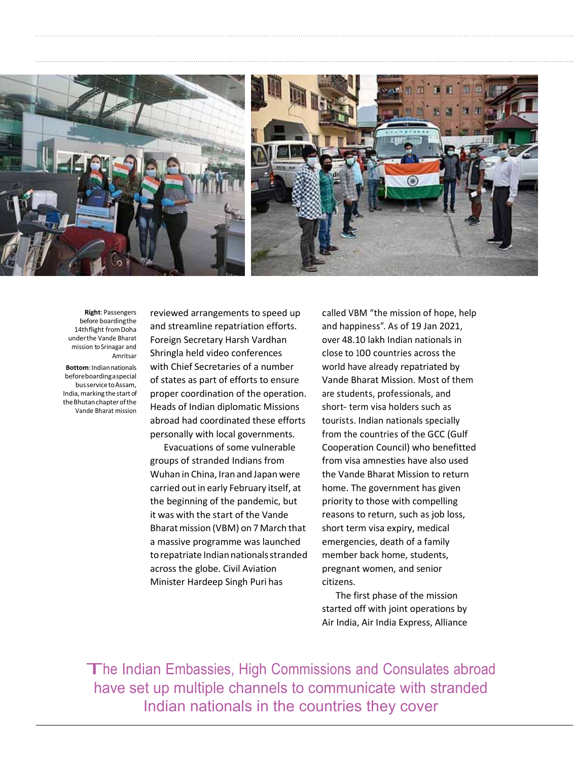

**Right**: Passengers before boarding the 14th flight from Doha under the Vande Bharat mission to Srinagar and Amritsar

**Bottom**: Indian nationals before boarding a special bus service to Assam, India, marking the start of the Bhutan chapter ofthe Vande Bharat mission

reviewed arrangements to speed up and streamline repatriation efforts. Foreign Secretary Harsh Vardhan Shringla held video conferences with Chief Secretaries of a number of states as part of efforts to ensure proper coordination of the operation. Heads of Indian diplomatic Missions abroad had coordinated these efforts personally with local governments.

Evacuations of some vulnerable groups of stranded Indians from Wuhan in China, Iran and Japan were carried out in early February itself, at the beginning of the pandemic, but it was with the start of the Vande Bharat mission (VBM) on 7 March that a massive programme was launched to repatriate Indian nationals stranded across the globe. Civil Aviation Minister Hardeep Singh Puri has

called VBM "the mission of hope, help and happiness". As of 19 Jan 2021, over 48.10 lakh Indian nationals in close to 100 countries across the world have already repatriated by Vande Bharat Mission. Most of them are students, professionals, and short- term visa holders such as tourists. Indian nationals specially from the countries of the GCC (Gulf Cooperation Council) who benefitted from visa amnesties have also used the Vande Bharat Mission to return home. The government has given priority to those with compelling reasons to return, such as job loss, short term visa expiry, medical emergencies, death of a family member back home, students, pregnant women, and senior citizens.

The first phase of the mission started off with joint operations by Air India, Air India Express, Alliance

The Indian Embassies, High Commissions and Consulates abroad have set up multiple channels to communicate with stranded Indian nationals in the countries they cover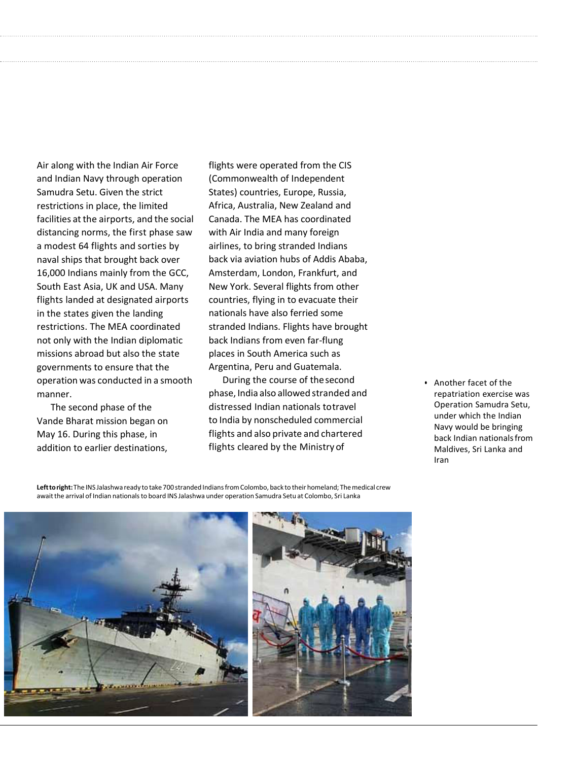Air along with the Indian Air Force and Indian Navy through operation Samudra Setu. Given the strict restrictions in place, the limited facilities at the airports, and the social distancing norms, the first phase saw a modest 64 flights and sorties by naval ships that brought back over 16,000 Indians mainly from the GCC, South East Asia, UK and USA. Many flights landed at designated airports in the states given the landing restrictions. The MEA coordinated not only with the Indian diplomatic missions abroad but also the state governments to ensure that the operation was conducted in a smooth manner.

The second phase of the Vande Bharat mission began on May 16. During this phase, in addition to earlier destinations,

flights were operated from the CIS (Commonwealth of Independent States) countries, Europe, Russia, Africa, Australia, New Zealand and Canada. The MEA has coordinated with Air India and many foreign airlines, to bring stranded Indians back via aviation hubs of Addis Ababa, Amsterdam, London, Frankfurt, and New York. Several flights from other countries, flying in to evacuate their nationals have also ferried some stranded Indians. Flights have brought back Indians from even far-flung places in South America such as Argentina, Peru and Guatemala.

During the course of the second phase, India also allowed stranded and distressed Indian nationals to travel to India by nonscheduled commercial flights and also private and chartered flights cleared by the Ministry of

• Another facet of the repatriation exercise was Operation Samudra Setu, under which the Indian Navy would be bringing back Indian nationals from Maldives, Sri Lanka and Iran

**Left to right:** The INS Jalashwa ready to take 700 stranded Indians from Colombo, back to their homeland; The medical crew await the arrival of Indian nationals to board INS Jalashwa under operation Samudra Setu at Colombo, Sri Lanka

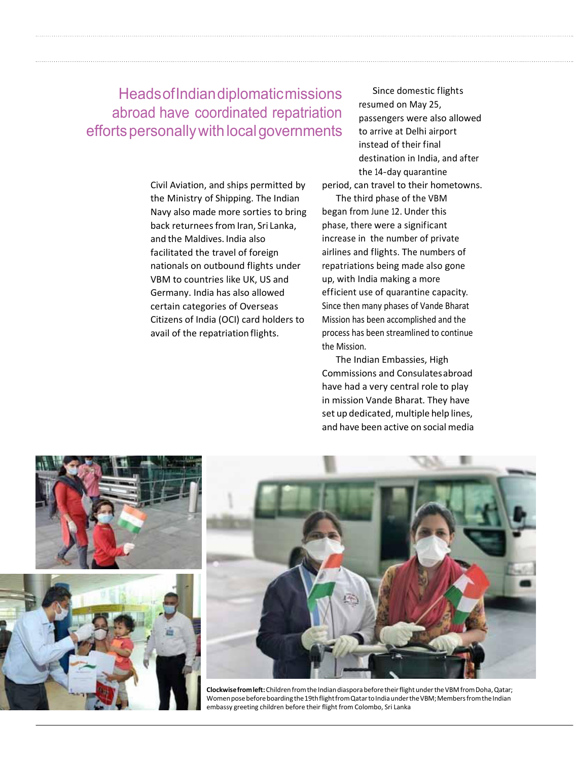**Heads of Indian diplomatic missions** abroad have coordinated repatriation efforts personally with local governments

> Civil Aviation, and ships permitted by the Ministry of Shipping. The Indian Navy also made more sorties to bring back returnees from Iran, Sri Lanka, and the Maldives. India also facilitated the travel of foreign nationals on outbound flights under VBM to countries like UK, US and Germany. India has also allowed certain categories of Overseas Citizens of India (OCI) card holders to avail of the repatriation flights.

Since domestic flights resumed on May 25, passengers were also allowed to arrive at Delhi airport instead of their final destination in India, and after the 14-day quarantine

period, can travel to their hometowns.

The third phase of the VBM began from June 12. Under this phase, there were a significant increase in the number of private airlines and flights. The numbers of repatriations being made also gone up, with India making a more efficient use of quarantine capacity. Since then many phases of Vande Bharat Mission has been accomplished and the process has been streamlined to continue the Mission.

The Indian Embassies, High Commissions and Consulates abroad have had a very central role to play in mission Vande Bharat. They have set up dedicated, multiple help lines, and have been active on social media



**Clockwise from left:** Children from the Indian diaspora before their flight under the VBM from Doha, Qatar; Women pose before boarding the 19th flight from Qatar to India under the VBM; Members from the Indian embassy greeting children before their flight from Colombo, Sri Lanka